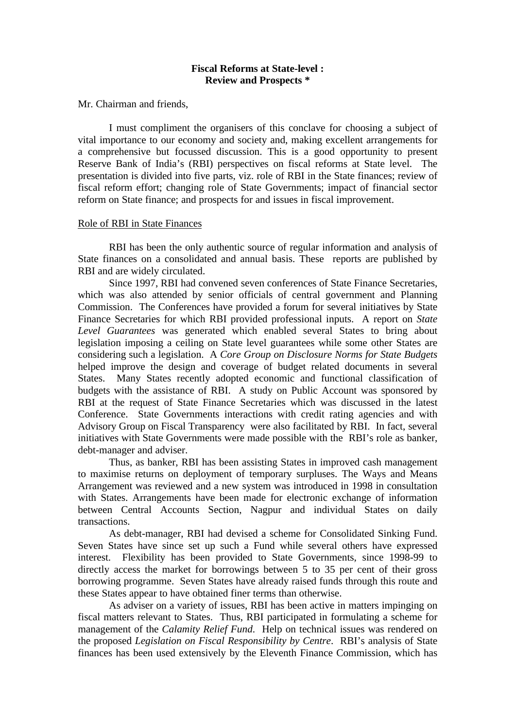# **Fiscal Reforms at State-level : Review and Prospects \***

Mr. Chairman and friends,

I must compliment the organisers of this conclave for choosing a subject of vital importance to our economy and society and, making excellent arrangements for a comprehensive but focussed discussion. This is a good opportunity to present Reserve Bank of India's (RBI) perspectives on fiscal reforms at State level. The presentation is divided into five parts, viz. role of RBI in the State finances; review of fiscal reform effort; changing role of State Governments; impact of financial sector reform on State finance; and prospects for and issues in fiscal improvement.

### Role of RBI in State Finances

RBI has been the only authentic source of regular information and analysis of State finances on a consolidated and annual basis. These reports are published by RBI and are widely circulated.

Since 1997, RBI had convened seven conferences of State Finance Secretaries, which was also attended by senior officials of central government and Planning Commission. The Conferences have provided a forum for several initiatives by State Finance Secretaries for which RBI provided professional inputs. A report on *State Level Guarantees* was generated which enabled several States to bring about legislation imposing a ceiling on State level guarantees while some other States are considering such a legislation. A *Core Group on Disclosure Norms for State Budgets* helped improve the design and coverage of budget related documents in several States. Many States recently adopted economic and functional classification of budgets with the assistance of RBI. A study on Public Account was sponsored by RBI at the request of State Finance Secretaries which was discussed in the latest Conference. State Governments interactions with credit rating agencies and with Advisory Group on Fiscal Transparency were also facilitated by RBI. In fact, several initiatives with State Governments were made possible with the RBI's role as banker, debt-manager and adviser.

Thus, as banker, RBI has been assisting States in improved cash management to maximise returns on deployment of temporary surpluses. The Ways and Means Arrangement was reviewed and a new system was introduced in 1998 in consultation with States. Arrangements have been made for electronic exchange of information between Central Accounts Section, Nagpur and individual States on daily transactions.

As debt-manager, RBI had devised a scheme for Consolidated Sinking Fund. Seven States have since set up such a Fund while several others have expressed interest. Flexibility has been provided to State Governments, since 1998-99 to directly access the market for borrowings between 5 to 35 per cent of their gross borrowing programme. Seven States have already raised funds through this route and these States appear to have obtained finer terms than otherwise.

As adviser on a variety of issues, RBI has been active in matters impinging on fiscal matters relevant to States. Thus, RBI participated in formulating a scheme for management of the *Calamity Relief Fund*. Help on technical issues was rendered on the proposed *Legislation on Fiscal Responsibility by Centre*. RBI's analysis of State finances has been used extensively by the Eleventh Finance Commission, which has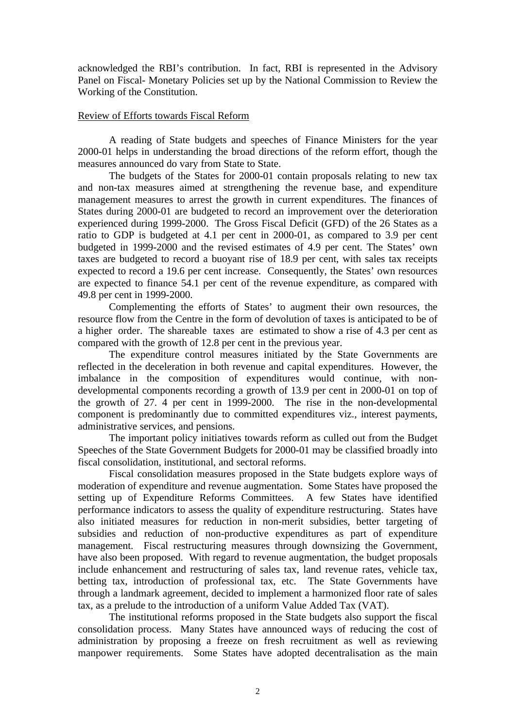acknowledged the RBI's contribution. In fact, RBI is represented in the Advisory Panel on Fiscal- Monetary Policies set up by the National Commission to Review the Working of the Constitution.

# Review of Efforts towards Fiscal Reform

A reading of State budgets and speeches of Finance Ministers for the year 2000-01 helps in understanding the broad directions of the reform effort, though the measures announced do vary from State to State.

The budgets of the States for 2000-01 contain proposals relating to new tax and non-tax measures aimed at strengthening the revenue base, and expenditure management measures to arrest the growth in current expenditures. The finances of States during 2000-01 are budgeted to record an improvement over the deterioration experienced during 1999-2000. The Gross Fiscal Deficit (GFD) of the 26 States as a ratio to GDP is budgeted at 4.1 per cent in 2000-01, as compared to 3.9 per cent budgeted in 1999-2000 and the revised estimates of 4.9 per cent. The States' own taxes are budgeted to record a buoyant rise of 18.9 per cent, with sales tax receipts expected to record a 19.6 per cent increase. Consequently, the States' own resources are expected to finance 54.1 per cent of the revenue expenditure, as compared with 49.8 per cent in 1999-2000.

Complementing the efforts of States' to augment their own resources, the resource flow from the Centre in the form of devolution of taxes is anticipated to be of a higher order. The shareable taxes are estimated to show a rise of 4.3 per cent as compared with the growth of 12.8 per cent in the previous year.

The expenditure control measures initiated by the State Governments are reflected in the deceleration in both revenue and capital expenditures. However, the imbalance in the composition of expenditures would continue, with nondevelopmental components recording a growth of 13.9 per cent in 2000-01 on top of the growth of 27. 4 per cent in 1999-2000. The rise in the non-developmental component is predominantly due to committed expenditures viz., interest payments, administrative services, and pensions.

The important policy initiatives towards reform as culled out from the Budget Speeches of the State Government Budgets for 2000-01 may be classified broadly into fiscal consolidation, institutional, and sectoral reforms.

Fiscal consolidation measures proposed in the State budgets explore ways of moderation of expenditure and revenue augmentation. Some States have proposed the setting up of Expenditure Reforms Committees. A few States have identified performance indicators to assess the quality of expenditure restructuring. States have also initiated measures for reduction in non-merit subsidies, better targeting of subsidies and reduction of non-productive expenditures as part of expenditure management. Fiscal restructuring measures through downsizing the Government, have also been proposed. With regard to revenue augmentation, the budget proposals include enhancement and restructuring of sales tax, land revenue rates, vehicle tax, betting tax, introduction of professional tax, etc. The State Governments have through a landmark agreement, decided to implement a harmonized floor rate of sales tax, as a prelude to the introduction of a uniform Value Added Tax (VAT).

The institutional reforms proposed in the State budgets also support the fiscal consolidation process. Many States have announced ways of reducing the cost of administration by proposing a freeze on fresh recruitment as well as reviewing manpower requirements. Some States have adopted decentralisation as the main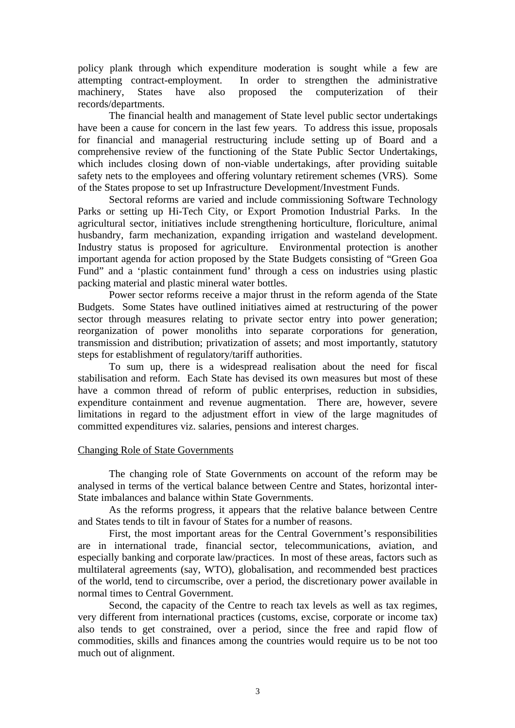policy plank through which expenditure moderation is sought while a few are attempting contract-employment. In order to strengthen the administrative machinery, States have also proposed the computerization of their records/departments.

The financial health and management of State level public sector undertakings have been a cause for concern in the last few years. To address this issue, proposals for financial and managerial restructuring include setting up of Board and a comprehensive review of the functioning of the State Public Sector Undertakings, which includes closing down of non-viable undertakings, after providing suitable safety nets to the employees and offering voluntary retirement schemes (VRS). Some of the States propose to set up Infrastructure Development/Investment Funds.

Sectoral reforms are varied and include commissioning Software Technology Parks or setting up Hi-Tech City, or Export Promotion Industrial Parks. In the agricultural sector, initiatives include strengthening horticulture, floriculture, animal husbandry, farm mechanization, expanding irrigation and wasteland development. Industry status is proposed for agriculture. Environmental protection is another important agenda for action proposed by the State Budgets consisting of "Green Goa Fund" and a 'plastic containment fund' through a cess on industries using plastic packing material and plastic mineral water bottles.

Power sector reforms receive a major thrust in the reform agenda of the State Budgets. Some States have outlined initiatives aimed at restructuring of the power sector through measures relating to private sector entry into power generation; reorganization of power monoliths into separate corporations for generation, transmission and distribution; privatization of assets; and most importantly, statutory steps for establishment of regulatory/tariff authorities.

To sum up, there is a widespread realisation about the need for fiscal stabilisation and reform. Each State has devised its own measures but most of these have a common thread of reform of public enterprises, reduction in subsidies, expenditure containment and revenue augmentation. There are, however, severe limitations in regard to the adjustment effort in view of the large magnitudes of committed expenditures viz. salaries, pensions and interest charges.

### Changing Role of State Governments

The changing role of State Governments on account of the reform may be analysed in terms of the vertical balance between Centre and States, horizontal inter-State imbalances and balance within State Governments.

As the reforms progress, it appears that the relative balance between Centre and States tends to tilt in favour of States for a number of reasons.

First, the most important areas for the Central Government's responsibilities are in international trade, financial sector, telecommunications, aviation, and especially banking and corporate law/practices. In most of these areas, factors such as multilateral agreements (say, WTO), globalisation, and recommended best practices of the world, tend to circumscribe, over a period, the discretionary power available in normal times to Central Government.

Second, the capacity of the Centre to reach tax levels as well as tax regimes, very different from international practices (customs, excise, corporate or income tax) also tends to get constrained, over a period, since the free and rapid flow of commodities, skills and finances among the countries would require us to be not too much out of alignment.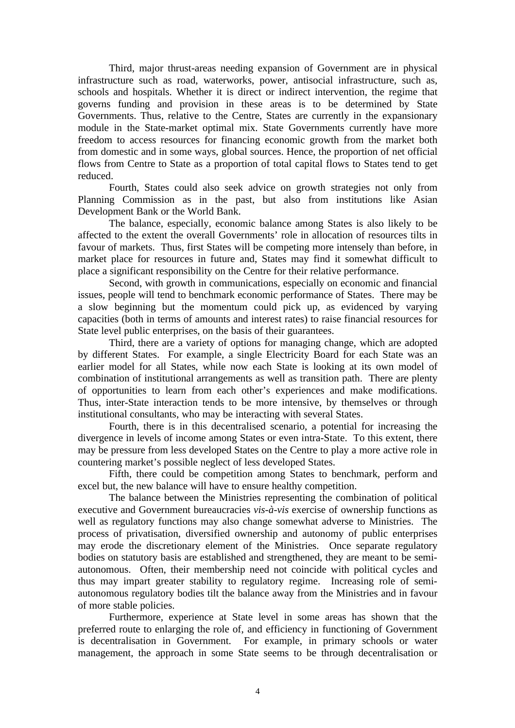Third, major thrust-areas needing expansion of Government are in physical infrastructure such as road, waterworks, power, antisocial infrastructure, such as, schools and hospitals. Whether it is direct or indirect intervention, the regime that governs funding and provision in these areas is to be determined by State Governments. Thus, relative to the Centre, States are currently in the expansionary module in the State-market optimal mix. State Governments currently have more freedom to access resources for financing economic growth from the market both from domestic and in some ways, global sources. Hence, the proportion of net official flows from Centre to State as a proportion of total capital flows to States tend to get reduced.

Fourth, States could also seek advice on growth strategies not only from Planning Commission as in the past, but also from institutions like Asian Development Bank or the World Bank.

The balance, especially, economic balance among States is also likely to be affected to the extent the overall Governments' role in allocation of resources tilts in favour of markets. Thus, first States will be competing more intensely than before, in market place for resources in future and, States may find it somewhat difficult to place a significant responsibility on the Centre for their relative performance.

Second, with growth in communications, especially on economic and financial issues, people will tend to benchmark economic performance of States. There may be a slow beginning but the momentum could pick up, as evidenced by varying capacities (both in terms of amounts and interest rates) to raise financial resources for State level public enterprises, on the basis of their guarantees.

Third, there are a variety of options for managing change, which are adopted by different States. For example, a single Electricity Board for each State was an earlier model for all States, while now each State is looking at its own model of combination of institutional arrangements as well as transition path. There are plenty of opportunities to learn from each other's experiences and make modifications. Thus, inter-State interaction tends to be more intensive, by themselves or through institutional consultants, who may be interacting with several States.

Fourth, there is in this decentralised scenario, a potential for increasing the divergence in levels of income among States or even intra-State. To this extent, there may be pressure from less developed States on the Centre to play a more active role in countering market's possible neglect of less developed States.

Fifth, there could be competition among States to benchmark, perform and excel but, the new balance will have to ensure healthy competition.

The balance between the Ministries representing the combination of political executive and Government bureaucracies *vis-à-vis* exercise of ownership functions as well as regulatory functions may also change somewhat adverse to Ministries. The process of privatisation, diversified ownership and autonomy of public enterprises may erode the discretionary element of the Ministries. Once separate regulatory bodies on statutory basis are established and strengthened, they are meant to be semiautonomous. Often, their membership need not coincide with political cycles and thus may impart greater stability to regulatory regime. Increasing role of semiautonomous regulatory bodies tilt the balance away from the Ministries and in favour of more stable policies.

Furthermore, experience at State level in some areas has shown that the preferred route to enlarging the role of, and efficiency in functioning of Government is decentralisation in Government. For example, in primary schools or water management, the approach in some State seems to be through decentralisation or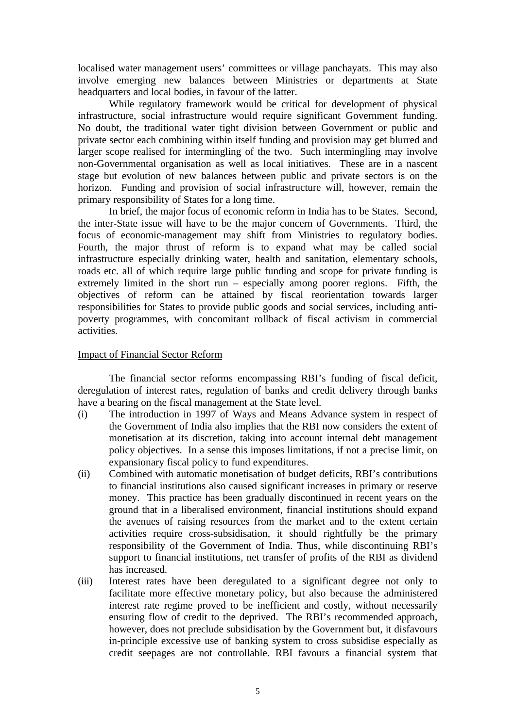localised water management users' committees or village panchayats. This may also involve emerging new balances between Ministries or departments at State headquarters and local bodies, in favour of the latter.

While regulatory framework would be critical for development of physical infrastructure, social infrastructure would require significant Government funding. No doubt, the traditional water tight division between Government or public and private sector each combining within itself funding and provision may get blurred and larger scope realised for intermingling of the two. Such intermingling may involve non-Governmental organisation as well as local initiatives. These are in a nascent stage but evolution of new balances between public and private sectors is on the horizon. Funding and provision of social infrastructure will, however, remain the primary responsibility of States for a long time.

In brief, the major focus of economic reform in India has to be States. Second, the inter-State issue will have to be the major concern of Governments. Third, the focus of economic-management may shift from Ministries to regulatory bodies. Fourth, the major thrust of reform is to expand what may be called social infrastructure especially drinking water, health and sanitation, elementary schools, roads etc. all of which require large public funding and scope for private funding is extremely limited in the short run – especially among poorer regions. Fifth, the objectives of reform can be attained by fiscal reorientation towards larger responsibilities for States to provide public goods and social services, including antipoverty programmes, with concomitant rollback of fiscal activism in commercial activities.

# Impact of Financial Sector Reform

The financial sector reforms encompassing RBI's funding of fiscal deficit, deregulation of interest rates, regulation of banks and credit delivery through banks have a bearing on the fiscal management at the State level.

- (i) The introduction in 1997 of Ways and Means Advance system in respect of the Government of India also implies that the RBI now considers the extent of monetisation at its discretion, taking into account internal debt management policy objectives. In a sense this imposes limitations, if not a precise limit, on expansionary fiscal policy to fund expenditures.
- (ii) Combined with automatic monetisation of budget deficits, RBI's contributions to financial institutions also caused significant increases in primary or reserve money. This practice has been gradually discontinued in recent years on the ground that in a liberalised environment, financial institutions should expand the avenues of raising resources from the market and to the extent certain activities require cross-subsidisation, it should rightfully be the primary responsibility of the Government of India. Thus, while discontinuing RBI's support to financial institutions, net transfer of profits of the RBI as dividend has increased.
- (iii) Interest rates have been deregulated to a significant degree not only to facilitate more effective monetary policy, but also because the administered interest rate regime proved to be inefficient and costly, without necessarily ensuring flow of credit to the deprived. The RBI's recommended approach, however, does not preclude subsidisation by the Government but, it disfavours in-principle excessive use of banking system to cross subsidise especially as credit seepages are not controllable. RBI favours a financial system that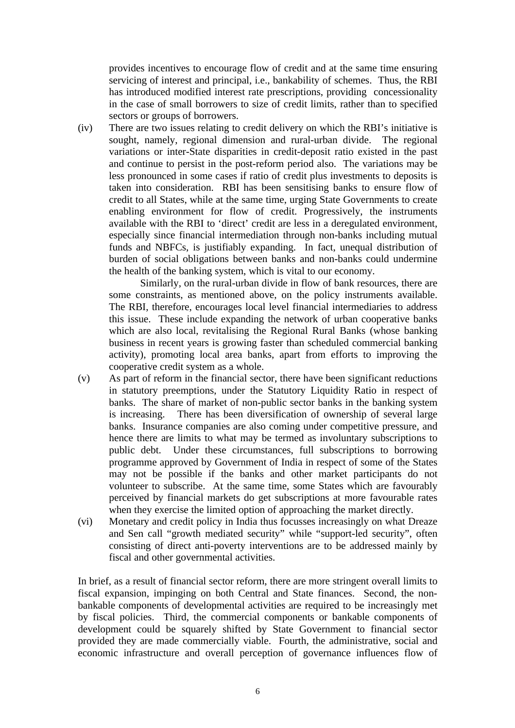provides incentives to encourage flow of credit and at the same time ensuring servicing of interest and principal, i.e., bankability of schemes. Thus, the RBI has introduced modified interest rate prescriptions, providing concessionality in the case of small borrowers to size of credit limits, rather than to specified sectors or groups of borrowers.

(iv) There are two issues relating to credit delivery on which the RBI's initiative is sought, namely, regional dimension and rural-urban divide. The regional variations or inter-State disparities in credit-deposit ratio existed in the past and continue to persist in the post-reform period also. The variations may be less pronounced in some cases if ratio of credit plus investments to deposits is taken into consideration. RBI has been sensitising banks to ensure flow of credit to all States, while at the same time, urging State Governments to create enabling environment for flow of credit. Progressively, the instruments available with the RBI to 'direct' credit are less in a deregulated environment, especially since financial intermediation through non-banks including mutual funds and NBFCs, is justifiably expanding. In fact, unequal distribution of burden of social obligations between banks and non-banks could undermine the health of the banking system, which is vital to our economy.

Similarly, on the rural-urban divide in flow of bank resources, there are some constraints, as mentioned above, on the policy instruments available. The RBI, therefore, encourages local level financial intermediaries to address this issue. These include expanding the network of urban cooperative banks which are also local, revitalising the Regional Rural Banks (whose banking business in recent years is growing faster than scheduled commercial banking activity), promoting local area banks, apart from efforts to improving the cooperative credit system as a whole.

- (v) As part of reform in the financial sector, there have been significant reductions in statutory preemptions, under the Statutory Liquidity Ratio in respect of banks. The share of market of non-public sector banks in the banking system is increasing. There has been diversification of ownership of several large banks. Insurance companies are also coming under competitive pressure, and hence there are limits to what may be termed as involuntary subscriptions to public debt. Under these circumstances, full subscriptions to borrowing programme approved by Government of India in respect of some of the States may not be possible if the banks and other market participants do not volunteer to subscribe. At the same time, some States which are favourably perceived by financial markets do get subscriptions at more favourable rates when they exercise the limited option of approaching the market directly.
- (vi) Monetary and credit policy in India thus focusses increasingly on what Dreaze and Sen call "growth mediated security" while "support-led security", often consisting of direct anti-poverty interventions are to be addressed mainly by fiscal and other governmental activities.

In brief, as a result of financial sector reform, there are more stringent overall limits to fiscal expansion, impinging on both Central and State finances. Second, the nonbankable components of developmental activities are required to be increasingly met by fiscal policies. Third, the commercial components or bankable components of development could be squarely shifted by State Government to financial sector provided they are made commercially viable. Fourth, the administrative, social and economic infrastructure and overall perception of governance influences flow of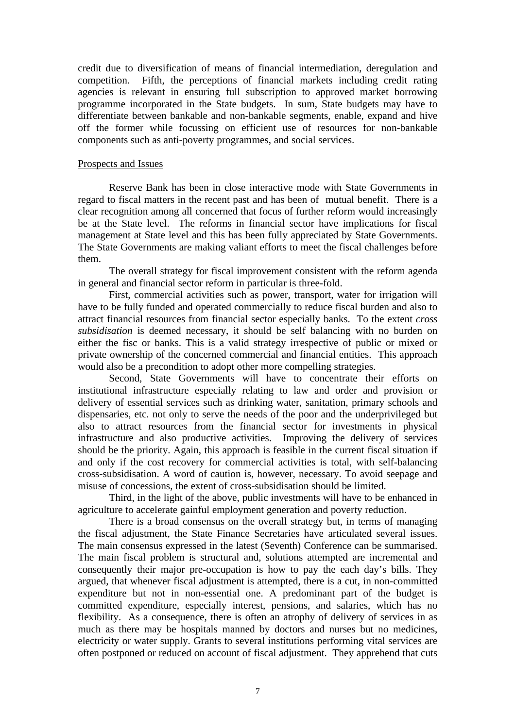credit due to diversification of means of financial intermediation, deregulation and competition. Fifth, the perceptions of financial markets including credit rating agencies is relevant in ensuring full subscription to approved market borrowing programme incorporated in the State budgets. In sum, State budgets may have to differentiate between bankable and non-bankable segments, enable, expand and hive off the former while focussing on efficient use of resources for non-bankable components such as anti-poverty programmes, and social services.

### Prospects and Issues

Reserve Bank has been in close interactive mode with State Governments in regard to fiscal matters in the recent past and has been of mutual benefit. There is a clear recognition among all concerned that focus of further reform would increasingly be at the State level. The reforms in financial sector have implications for fiscal management at State level and this has been fully appreciated by State Governments. The State Governments are making valiant efforts to meet the fiscal challenges before them.

The overall strategy for fiscal improvement consistent with the reform agenda in general and financial sector reform in particular is three-fold.

First, commercial activities such as power, transport, water for irrigation will have to be fully funded and operated commercially to reduce fiscal burden and also to attract financial resources from financial sector especially banks. To the extent *cross subsidisation* is deemed necessary, it should be self balancing with no burden on either the fisc or banks. This is a valid strategy irrespective of public or mixed or private ownership of the concerned commercial and financial entities. This approach would also be a precondition to adopt other more compelling strategies.

Second, State Governments will have to concentrate their efforts on institutional infrastructure especially relating to law and order and provision or delivery of essential services such as drinking water, sanitation, primary schools and dispensaries, etc. not only to serve the needs of the poor and the underprivileged but also to attract resources from the financial sector for investments in physical infrastructure and also productive activities. Improving the delivery of services should be the priority. Again, this approach is feasible in the current fiscal situation if and only if the cost recovery for commercial activities is total, with self-balancing cross-subsidisation. A word of caution is, however, necessary. To avoid seepage and misuse of concessions, the extent of cross-subsidisation should be limited.

Third, in the light of the above, public investments will have to be enhanced in agriculture to accelerate gainful employment generation and poverty reduction.

There is a broad consensus on the overall strategy but, in terms of managing the fiscal adjustment, the State Finance Secretaries have articulated several issues. The main consensus expressed in the latest (Seventh) Conference can be summarised. The main fiscal problem is structural and, solutions attempted are incremental and consequently their major pre-occupation is how to pay the each day's bills. They argued, that whenever fiscal adjustment is attempted, there is a cut, in non-committed expenditure but not in non-essential one. A predominant part of the budget is committed expenditure, especially interest, pensions, and salaries, which has no flexibility. As a consequence, there is often an atrophy of delivery of services in as much as there may be hospitals manned by doctors and nurses but no medicines, electricity or water supply. Grants to several institutions performing vital services are often postponed or reduced on account of fiscal adjustment. They apprehend that cuts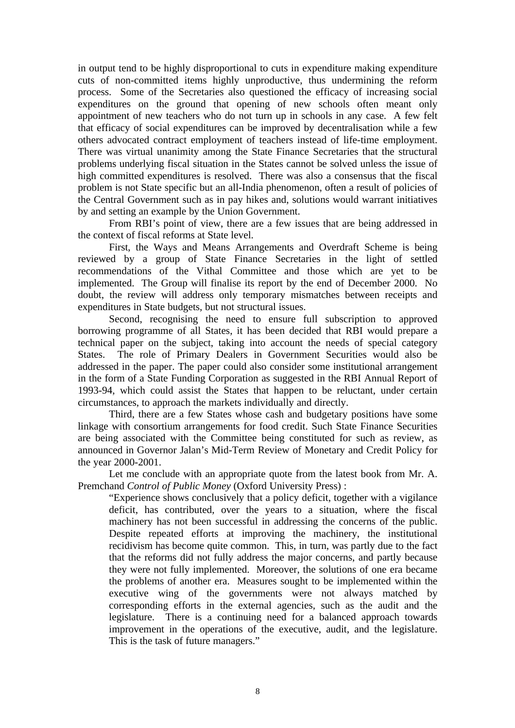in output tend to be highly disproportional to cuts in expenditure making expenditure cuts of non-committed items highly unproductive, thus undermining the reform process. Some of the Secretaries also questioned the efficacy of increasing social expenditures on the ground that opening of new schools often meant only appointment of new teachers who do not turn up in schools in any case. A few felt that efficacy of social expenditures can be improved by decentralisation while a few others advocated contract employment of teachers instead of life-time employment. There was virtual unanimity among the State Finance Secretaries that the structural problems underlying fiscal situation in the States cannot be solved unless the issue of high committed expenditures is resolved. There was also a consensus that the fiscal problem is not State specific but an all-India phenomenon, often a result of policies of the Central Government such as in pay hikes and, solutions would warrant initiatives by and setting an example by the Union Government.

From RBI's point of view, there are a few issues that are being addressed in the context of fiscal reforms at State level.

First, the Ways and Means Arrangements and Overdraft Scheme is being reviewed by a group of State Finance Secretaries in the light of settled recommendations of the Vithal Committee and those which are yet to be implemented. The Group will finalise its report by the end of December 2000. No doubt, the review will address only temporary mismatches between receipts and expenditures in State budgets, but not structural issues.

Second, recognising the need to ensure full subscription to approved borrowing programme of all States, it has been decided that RBI would prepare a technical paper on the subject, taking into account the needs of special category States. The role of Primary Dealers in Government Securities would also be addressed in the paper. The paper could also consider some institutional arrangement in the form of a State Funding Corporation as suggested in the RBI Annual Report of 1993-94, which could assist the States that happen to be reluctant, under certain circumstances, to approach the markets individually and directly.

Third, there are a few States whose cash and budgetary positions have some linkage with consortium arrangements for food credit. Such State Finance Securities are being associated with the Committee being constituted for such as review, as announced in Governor Jalan's Mid-Term Review of Monetary and Credit Policy for the year 2000-2001.

Let me conclude with an appropriate quote from the latest book from Mr. A. Premchand *Control of Public Money* (Oxford University Press) :

"Experience shows conclusively that a policy deficit, together with a vigilance deficit, has contributed, over the years to a situation, where the fiscal machinery has not been successful in addressing the concerns of the public. Despite repeated efforts at improving the machinery, the institutional recidivism has become quite common. This, in turn, was partly due to the fact that the reforms did not fully address the major concerns, and partly because they were not fully implemented. Moreover, the solutions of one era became the problems of another era. Measures sought to be implemented within the executive wing of the governments were not always matched by corresponding efforts in the external agencies, such as the audit and the legislature. There is a continuing need for a balanced approach towards improvement in the operations of the executive, audit, and the legislature. This is the task of future managers."